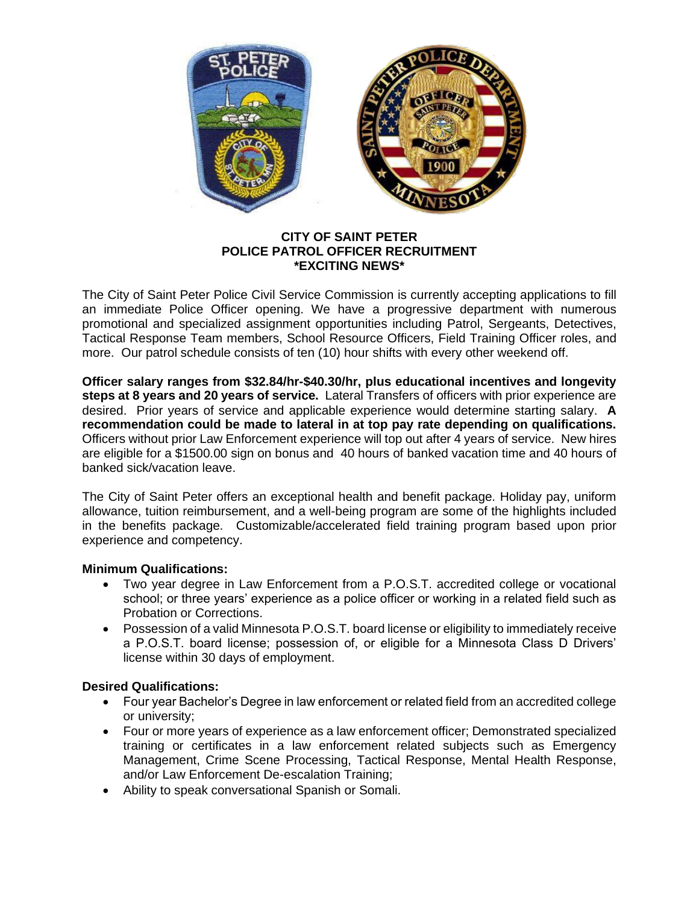

## **CITY OF SAINT PETER POLICE PATROL OFFICER RECRUITMENT \*EXCITING NEWS\***

The City of Saint Peter Police Civil Service Commission is currently accepting applications to fill an immediate Police Officer opening. We have a progressive department with numerous promotional and specialized assignment opportunities including Patrol, Sergeants, Detectives, Tactical Response Team members, School Resource Officers, Field Training Officer roles, and more. Our patrol schedule consists of ten (10) hour shifts with every other weekend off.

**Officer salary ranges from \$32.84/hr-\$40.30/hr, plus educational incentives and longevity steps at 8 years and 20 years of service.** Lateral Transfers of officers with prior experience are desired. Prior years of service and applicable experience would determine starting salary. **A recommendation could be made to lateral in at top pay rate depending on qualifications.** Officers without prior Law Enforcement experience will top out after 4 years of service. New hires are eligible for a \$1500.00 sign on bonus and 40 hours of banked vacation time and 40 hours of banked sick/vacation leave.

The City of Saint Peter offers an exceptional health and benefit package. Holiday pay, uniform allowance, tuition reimbursement, and a well-being program are some of the highlights included in the benefits package. Customizable/accelerated field training program based upon prior experience and competency.

### **Minimum Qualifications:**

- Two year degree in Law Enforcement from a P.O.S.T. accredited college or vocational school; or three years' experience as a police officer or working in a related field such as Probation or Corrections.
- Possession of a valid Minnesota P.O.S.T. board license or eligibility to immediately receive a P.O.S.T. board license; possession of, or eligible for a Minnesota Class D Drivers' license within 30 days of employment.

### **Desired Qualifications:**

- Four year Bachelor's Degree in law enforcement or related field from an accredited college or university;
- Four or more years of experience as a law enforcement officer; Demonstrated specialized training or certificates in a law enforcement related subjects such as Emergency Management, Crime Scene Processing, Tactical Response, Mental Health Response, and/or Law Enforcement De-escalation Training;
- Ability to speak conversational Spanish or Somali.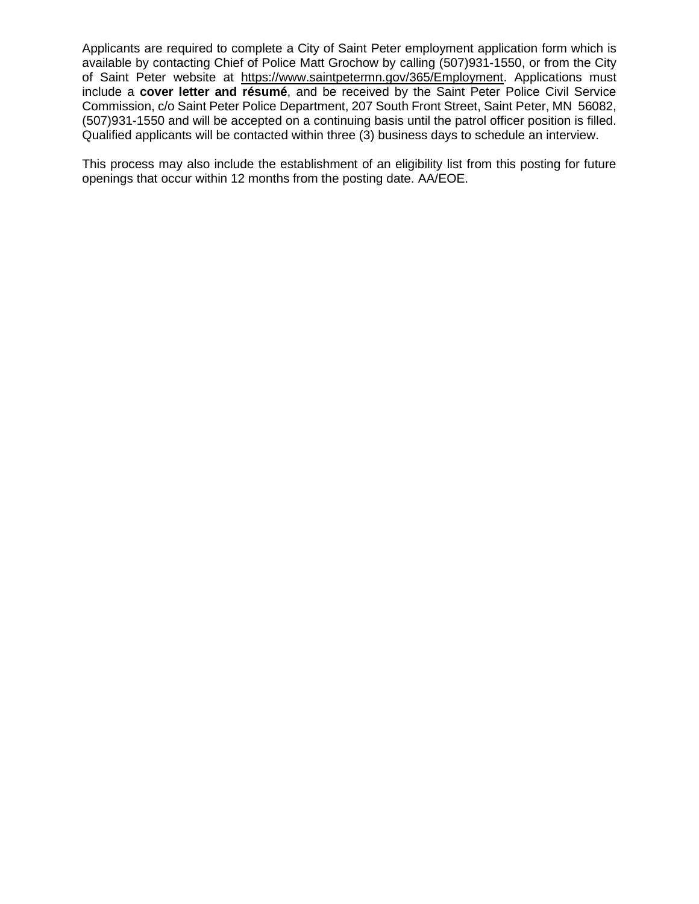Applicants are required to complete a City of Saint Peter employment application form which is available by contacting Chief of Police Matt Grochow by calling (507)931-1550, or from the City of Saint Peter website at [https://www.saintpetermn.gov/365/Employment.](https://www.saintpetermn.gov/365/Employment) Applications must include a **cover letter and résumé**, and be received by the Saint Peter Police Civil Service Commission, c/o Saint Peter Police Department, 207 South Front Street, Saint Peter, MN 56082, (507)931-1550 and will be accepted on a continuing basis until the patrol officer position is filled. Qualified applicants will be contacted within three (3) business days to schedule an interview.

This process may also include the establishment of an eligibility list from this posting for future openings that occur within 12 months from the posting date. AA/EOE.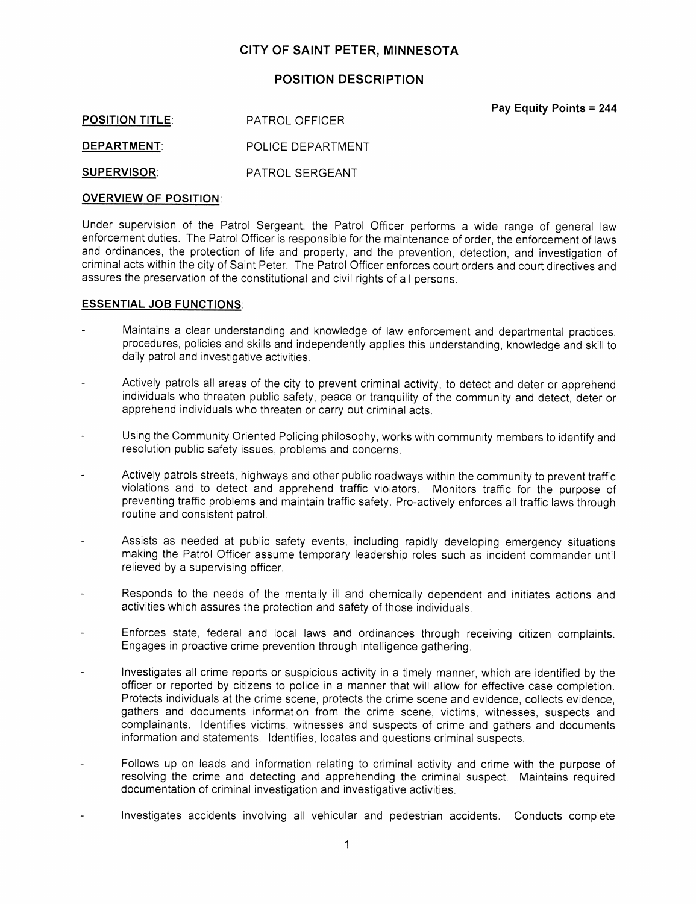### **POSITION DESCRIPTION**

**POSITION TITLE:** PATROL OFFICER

**DEPARTMENT:** POLICE DEPARTMENT

**SUPERVISOR:** PATROL SERGEANT

#### **OVERVIEW OF POSITION:**

Under supervision of the Patrol Sergeant, the Patrol Officer performs a wide range of general law enforcement duties. The Patrol Officer is responsible for the maintenance of order, the enforcement of laws and ordinances, the protection of life and property, and the prevention, detection, and investigation of criminal acts within the city of Saint Peter. The Patrol Officer enforces court orders and court directives and assures the preservation of the constitutional and civil rights of all persons.

#### **ESSENTIAL JOB FUNCTIONS:**

- Maintains a clear understanding and knowledge of law enforcement and departmental practices. procedures, policies and skills and independently applies this understanding, knowledge and skill to daily patrol and investigative activities.
- Actively patrols all areas of the city to prevent criminal activity, to detect and deter or apprehend individuals who threaten public safety, peace or tranquility of the community and detect, deter or apprehend individuals who threaten or carry out criminal acts.
- Using the Community Oriented Policing philosophy, works with community members to identify and resolution public safety issues, problems and concerns.
- Actively patrols streets, highways and other public roadways within the community to prevent traffic violations and to detect and apprehend traffic violators. Monitors traffic for the purpose of preventing traffic problems and maintain traffic safety. Pro-actively enforces all traffic laws through routine and consistent patrol.
- Assists as needed at public safety events, including rapidly developing emergency situations making the Patrol Officer assume temporary leadership roles such as incident commander until relieved by a supervising officer.
- Responds to the needs of the mentally ill and chemically dependent and initiates actions and activities which assures the protection and safety of those individuals.
- Enforces state, federal and local laws and ordinances through receiving citizen complaints. Engages in proactive crime prevention through intelligence gathering.
- $\overline{a}$ Investigates all crime reports or suspicious activity in a timely manner, which are identified by the officer or reported by citizens to police in a manner that will allow for effective case completion. Protects individuals at the crime scene, protects the crime scene and evidence, collects evidence, gathers and documents information from the crime scene, victims, witnesses, suspects and complainants. Identifies victims, witnesses and suspects of crime and gathers and documents information and statements. Identifies, locates and questions criminal suspects.
- Follows up on leads and information relating to criminal activity and crime with the purpose of resolving the crime and detecting and apprehending the criminal suspect. Maintains required documentation of criminal investigation and investigative activities.
- Investigates accidents involving all vehicular and pedestrian accidents. Conducts complete  $\overline{a}$

Pay Equity Points = 244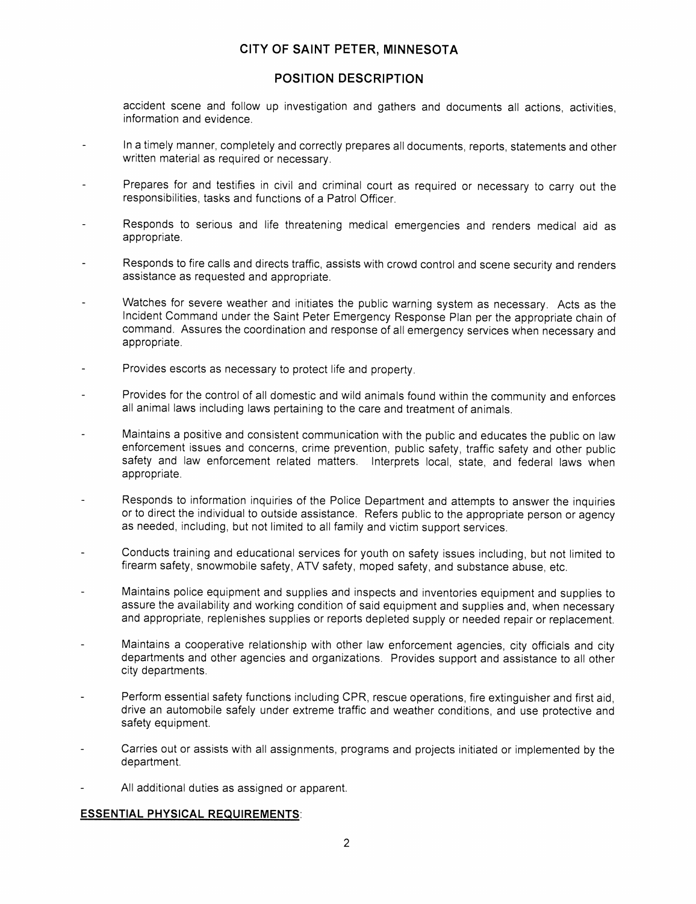### **POSITION DESCRIPTION**

accident scene and follow up investigation and gathers and documents all actions, activities, information and evidence.

- In a timely manner, completely and correctly prepares all documents, reports, statements and other written material as required or necessary.
- Prepares for and testifies in civil and criminal court as required or necessary to carry out the responsibilities, tasks and functions of a Patrol Officer.
- Responds to serious and life threatening medical emergencies and renders medical aid as appropriate.
- Responds to fire calls and directs traffic, assists with crowd control and scene security and renders assistance as requested and appropriate.
- Watches for severe weather and initiates the public warning system as necessary. Acts as the Incident Command under the Saint Peter Emergency Response Plan per the appropriate chain of command. Assures the coordination and response of all emergency services when necessary and appropriate.
- Provides escorts as necessary to protect life and property.
- Provides for the control of all domestic and wild animals found within the community and enforces all animal laws including laws pertaining to the care and treatment of animals.
- Maintains a positive and consistent communication with the public and educates the public on law enforcement issues and concerns, crime prevention, public safety, traffic safety and other public safety and law enforcement related matters. Interprets local, state, and federal laws when appropriate.
- Responds to information inquiries of the Police Department and attempts to answer the inquiries  $\overline{a}$ or to direct the individual to outside assistance. Refers public to the appropriate person or agency as needed, including, but not limited to all family and victim support services.
- Conducts training and educational services for youth on safety issues including, but not limited to firearm safety, snowmobile safety, ATV safety, moped safety, and substance abuse, etc.
- Maintains police equipment and supplies and inspects and inventories equipment and supplies to assure the availability and working condition of said equipment and supplies and, when necessary and appropriate, replenishes supplies or reports depleted supply or needed repair or replacement.
- Maintains a cooperative relationship with other law enforcement agencies, city officials and city  $\overline{a}$ departments and other agencies and organizations. Provides support and assistance to all other city departments.
- Perform essential safety functions including CPR, rescue operations, fire extinguisher and first aid, drive an automobile safely under extreme traffic and weather conditions, and use protective and safety equipment.
- Carries out or assists with all assignments, programs and projects initiated or implemented by the department.
- All additional duties as assigned or apparent.

#### **ESSENTIAL PHYSICAL REQUIREMENTS:**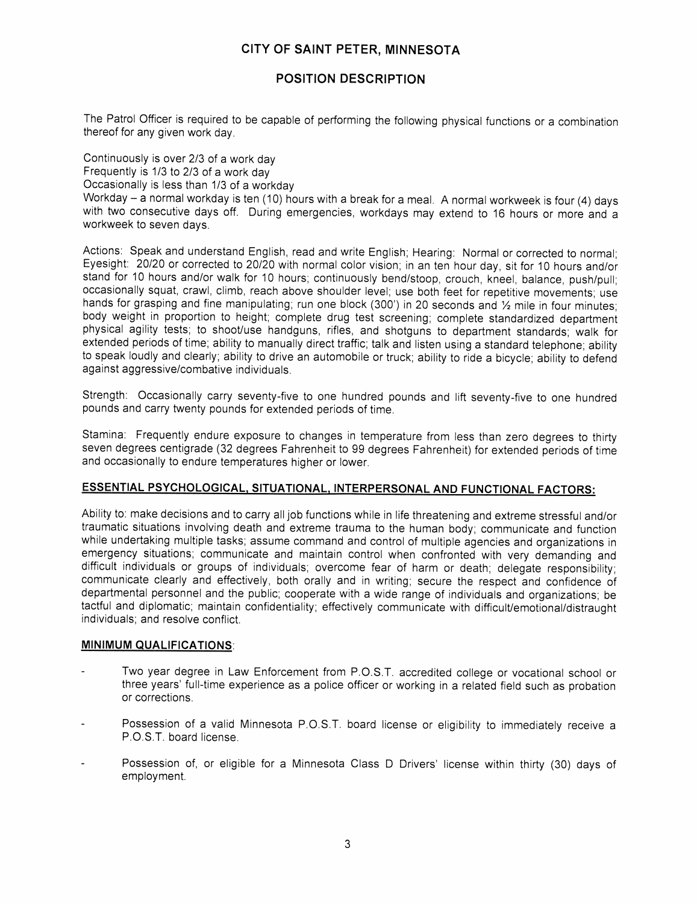### **POSITION DESCRIPTION**

The Patrol Officer is required to be capable of performing the following physical functions or a combination thereof for any given work day.

Continuously is over 2/3 of a work day Frequently is 1/3 to 2/3 of a work day Occasionally is less than 1/3 of a workday Workday - a normal workday is ten (10) hours with a break for a meal. A normal workweek is four (4) days with two consecutive days off. During emergencies, workdays may extend to 16 hours or more and a workweek to seven days.

Actions: Speak and understand English, read and write English; Hearing: Normal or corrected to normal; Eyesight: 20/20 or corrected to 20/20 with normal color vision; in an ten hour day, sit for 10 hours and/or stand for 10 hours and/or walk for 10 hours; continuously bend/stoop, crouch, kneel, balance, push/pull; occasionally squat, crawl, climb, reach above shoulder level; use both feet for repetitive movements; use hands for grasping and fine manipulating; run one block (300') in 20 seconds and 1/2 mile in four minutes; body weight in proportion to height; complete drug test screening; complete standardized department physical agility tests; to shoot/use handguns, rifles, and shotguns to department standards; walk for extended periods of time; ability to manually direct traffic; talk and listen using a standard telephone; ability to speak loudly and clearly; ability to drive an automobile or truck; ability to ride a bicycle; ability to defend against aggressive/combative individuals.

Strength: Occasionally carry seventy-five to one hundred pounds and lift seventy-five to one hundred pounds and carry twenty pounds for extended periods of time.

Stamina: Frequently endure exposure to changes in temperature from less than zero degrees to thirty seven degrees centigrade (32 degrees Fahrenheit to 99 degrees Fahrenheit) for extended periods of time and occasionally to endure temperatures higher or lower.

#### **ESSENTIAL PSYCHOLOGICAL, SITUATIONAL, INTERPERSONAL AND FUNCTIONAL FACTORS:**

Ability to: make decisions and to carry all job functions while in life threatening and extreme stressful and/or traumatic situations involving death and extreme trauma to the human body; communicate and function while undertaking multiple tasks; assume command and control of multiple agencies and organizations in emergency situations; communicate and maintain control when confronted with very demanding and difficult individuals or groups of individuals; overcome fear of harm or death; delegate responsibility; communicate clearly and effectively, both orally and in writing; secure the respect and confidence of departmental personnel and the public; cooperate with a wide range of individuals and organizations; be tactful and diplomatic; maintain confidentiality; effectively communicate with difficult/emotional/distraught individuals; and resolve conflict.

#### **MINIMUM QUALIFICATIONS:**

- Two year degree in Law Enforcement from P.O.S.T. accredited college or vocational school or three years' full-time experience as a police officer or working in a related field such as probation or corrections.
- Possession of a valid Minnesota P.O.S.T. board license or eligibility to immediately receive a P.O.S.T. board license.
- Possession of, or eligible for a Minnesota Class D Drivers' license within thirty (30) days of employment.